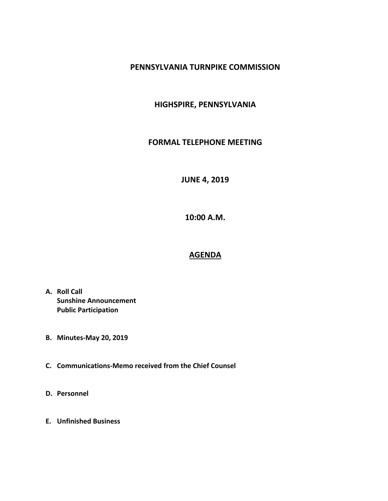#### **PENNSYLVANIA TURNPIKE COMMISSION**

### **HIGHSPIRE, PENNSYLVANIA**

#### **FORMAL TELEPHONE MEETING**

# **JUNE 4, 2019**

**10:00 A.M.**

# **AGENDA**

- **A. Roll Call Sunshine Announcement Public Participation**
- **B. Minutes-May 20, 2019**
- **C. Communications-Memo received from the Chief Counsel**
- **D. Personnel**
- **E. Unfinished Business**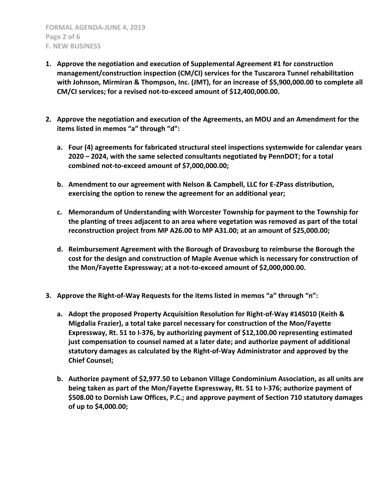- **1. Approve the negotiation and execution of Supplemental Agreement #1 for construction management/construction inspection (CM/CI) services for the Tuscarora Tunnel rehabilitation with Johnson, Mirmiran & Thompson, Inc. (JMT), for an increase of \$5,900,000.00 to complete all CM/CI services; for a revised not-to-exceed amount of \$12,400,000.00.**
- **2. Approve the negotiation and execution of the Agreements, an MOU and an Amendment for the items listed in memos "a" through "d":**
	- **a. Four (4) agreements for fabricated structural steel inspections systemwide for calendar years 2020 – 2024, with the same selected consultants negotiated by PennDOT; for a total combined not-to-exceed amount of \$7,000,000.00;**
	- **b. Amendment to our agreement with Nelson & Campbell, LLC for E-ZPass distribution, exercising the option to renew the agreement for an additional year;**
	- **c. Memorandum of Understanding with Worcester Township for payment to the Township for the planting of trees adjacent to an area where vegetation was removed as part of the total reconstruction project from MP A26.00 to MP A31.00; at an amount of \$25,000.00;**
	- **d. Reimbursement Agreement with the Borough of Dravosburg to reimburse the Borough the cost for the design and construction of Maple Avenue which is necessary for construction of the Mon/Fayette Expressway; at a not-to-exceed amount of \$2,000,000.00.**
- **3. Approve the Right-of-Way Requests for the items listed in memos "a" through "n":**
	- **a. Adopt the proposed Property Acquisition Resolution for Right-of-Way #14S010 (Keith & Migdalia Frazier), a total take parcel necessary for construction of the Mon/Fayette Expressway, Rt. 51 to I-376, by authorizing payment of \$12,100.00 representing estimated just compensation to counsel named at a later date; and authorize payment of additional statutory damages as calculated by the Right-of-Way Administrator and approved by the Chief Counsel;**
	- **b. Authorize payment of \$2,977.50 to Lebanon Village Condominium Association, as all units are being taken as part of the Mon/Fayette Expressway, Rt. 51 to I-376; authorize payment of \$508.00 to Dornish Law Offices, P.C.; and approve payment of Section 710 statutory damages of up to \$4,000.00;**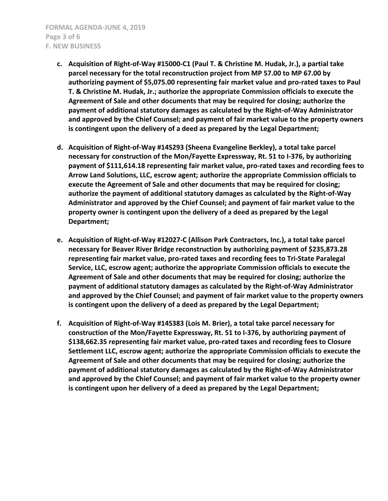- **c. Acquisition of Right-of-Way #15000-C1 (Paul T. & Christine M. Hudak, Jr.), a partial take parcel necessary for the total reconstruction project from MP 57.00 to MP 67.00 by authorizing payment of \$5,075.00 representing fair market value and pro-rated taxes to Paul T. & Christine M. Hudak, Jr.; authorize the appropriate Commission officials to execute the Agreement of Sale and other documents that may be required for closing; authorize the payment of additional statutory damages as calculated by the Right-of-Way Administrator and approved by the Chief Counsel; and payment of fair market value to the property owners is contingent upon the delivery of a deed as prepared by the Legal Department;**
- **d. Acquisition of Right-of-Way #14S293 (Sheena Evangeline Berkley), a total take parcel necessary for construction of the Mon/Fayette Expressway, Rt. 51 to I-376, by authorizing payment of \$111,614.18 representing fair market value, pro-rated taxes and recording fees to Arrow Land Solutions, LLC, escrow agent; authorize the appropriate Commission officials to execute the Agreement of Sale and other documents that may be required for closing; authorize the payment of additional statutory damages as calculated by the Right-of-Way Administrator and approved by the Chief Counsel; and payment of fair market value to the property owner is contingent upon the delivery of a deed as prepared by the Legal Department;**
- **e. Acquisition of Right-of-Way #12027-C (Allison Park Contractors, Inc.), a total take parcel necessary for Beaver River Bridge reconstruction by authorizing payment of \$235,873.28 representing fair market value, pro-rated taxes and recording fees to Tri-State Paralegal Service, LLC, escrow agent; authorize the appropriate Commission officials to execute the Agreement of Sale and other documents that may be required for closing; authorize the payment of additional statutory damages as calculated by the Right-of-Way Administrator and approved by the Chief Counsel; and payment of fair market value to the property owners is contingent upon the delivery of a deed as prepared by the Legal Department;**
- **f. Acquisition of Right-of-Way #14S383 (Lois M. Brier), a total take parcel necessary for construction of the Mon/Fayette Expressway, Rt. 51 to I-376, by authorizing payment of \$138,662.35 representing fair market value, pro-rated taxes and recording fees to Closure Settlement LLC, escrow agent; authorize the appropriate Commission officials to execute the Agreement of Sale and other documents that may be required for closing; authorize the payment of additional statutory damages as calculated by the Right-of-Way Administrator and approved by the Chief Counsel; and payment of fair market value to the property owner is contingent upon her delivery of a deed as prepared by the Legal Department;**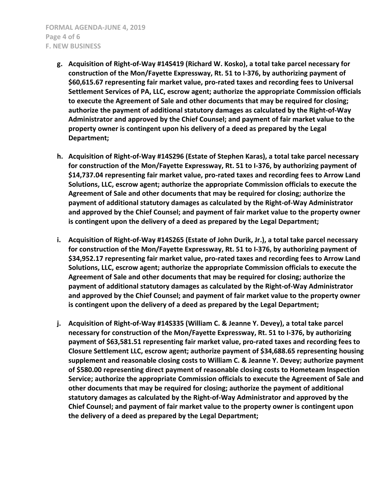- **g. Acquisition of Right-of-Way #14S419 (Richard W. Kosko), a total take parcel necessary for construction of the Mon/Fayette Expressway, Rt. 51 to I-376, by authorizing payment of \$60,615.67 representing fair market value, pro-rated taxes and recording fees to Universal Settlement Services of PA, LLC, escrow agent; authorize the appropriate Commission officials to execute the Agreement of Sale and other documents that may be required for closing; authorize the payment of additional statutory damages as calculated by the Right-of-Way Administrator and approved by the Chief Counsel; and payment of fair market value to the property owner is contingent upon his delivery of a deed as prepared by the Legal Department;**
- **h. Acquisition of Right-of-Way #14S296 (Estate of Stephen Karas), a total take parcel necessary for construction of the Mon/Fayette Expressway, Rt. 51 to I-376, by authorizing payment of \$14,737.04 representing fair market value, pro-rated taxes and recording fees to Arrow Land Solutions, LLC, escrow agent; authorize the appropriate Commission officials to execute the Agreement of Sale and other documents that may be required for closing; authorize the payment of additional statutory damages as calculated by the Right-of-Way Administrator and approved by the Chief Counsel; and payment of fair market value to the property owner is contingent upon the delivery of a deed as prepared by the Legal Department;**
- **i. Acquisition of Right-of-Way #14S265 (Estate of John Durik, Jr.), a total take parcel necessary for construction of the Mon/Fayette Expressway, Rt. 51 to I-376, by authorizing payment of \$34,952.17 representing fair market value, pro-rated taxes and recording fees to Arrow Land Solutions, LLC, escrow agent; authorize the appropriate Commission officials to execute the Agreement of Sale and other documents that may be required for closing; authorize the payment of additional statutory damages as calculated by the Right-of-Way Administrator and approved by the Chief Counsel; and payment of fair market value to the property owner is contingent upon the delivery of a deed as prepared by the Legal Department;**
- **j. Acquisition of Right-of-Way #14S335 (William C. & Jeanne Y. Devey), a total take parcel necessary for construction of the Mon/Fayette Expressway, Rt. 51 to I-376, by authorizing payment of \$63,581.51 representing fair market value, pro-rated taxes and recording fees to Closure Settlement LLC, escrow agent; authorize payment of \$34,688.65 representing housing supplement and reasonable closing costs to William C. & Jeanne Y. Devey; authorize payment of \$580.00 representing direct payment of reasonable closing costs to Hometeam Inspection Service; authorize the appropriate Commission officials to execute the Agreement of Sale and other documents that may be required for closing; authorize the payment of additional statutory damages as calculated by the Right-of-Way Administrator and approved by the Chief Counsel; and payment of fair market value to the property owner is contingent upon the delivery of a deed as prepared by the Legal Department;**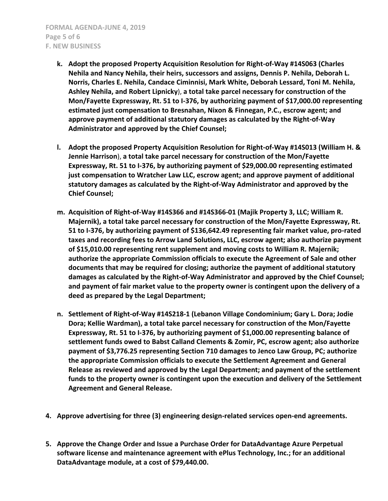- **k. Adopt the proposed Property Acquisition Resolution for Right-of-Way #14S063 (Charles Nehila and Nancy Nehila, their heirs, successors and assigns, Dennis P. Nehila, Deborah L. Norris, Charles E. Nehila, Candace Ciminnisi, Mark White, Deborah Lessard, Toni M. Nehila, Ashley Nehila, and Robert Lipnicky**), **a total take parcel necessary for construction of the Mon/Fayette Expressway, Rt. 51 to I-376, by authorizing payment of \$17,000.00 representing estimated just compensation to Bresnahan, Nixon & Finnegan, P.C., escrow agent; and approve payment of additional statutory damages as calculated by the Right-of-Way Administrator and approved by the Chief Counsel;**
- **l. Adopt the proposed Property Acquisition Resolution for Right-of-Way #14S013 (William H. & Jennie Harrison**), **a total take parcel necessary for construction of the Mon/Fayette Expressway, Rt. 51 to I-376, by authorizing payment of \$29,000.00 representing estimated just compensation to Wratcher Law LLC, escrow agent; and approve payment of additional statutory damages as calculated by the Right-of-Way Administrator and approved by the Chief Counsel;**
- **m. Acquisition of Right-of-Way #14S366 and #14S366-01 (Majik Property 3, LLC; William R. Majernik), a total take parcel necessary for construction of the Mon/Fayette Expressway, Rt. 51 to I-376, by authorizing payment of \$136,642.49 representing fair market value, pro-rated taxes and recording fees to Arrow Land Solutions, LLC, escrow agent; also authorize payment of \$15,010.00 representing rent supplement and moving costs to William R. Majernik; authorize the appropriate Commission officials to execute the Agreement of Sale and other documents that may be required for closing; authorize the payment of additional statutory damages as calculated by the Right-of-Way Administrator and approved by the Chief Counsel; and payment of fair market value to the property owner is contingent upon the delivery of a deed as prepared by the Legal Department;**
- **n. Settlement of Right-of-Way #14S218-1 (Lebanon Village Condominium; Gary L. Dora; Jodie Dora; Kellie Wardman), a total take parcel necessary for construction of the Mon/Fayette Expressway, Rt. 51 to I-376, by authorizing payment of \$1,000.00 representing balance of settlement funds owed to Babst Calland Clements & Zomir, PC, escrow agent; also authorize payment of \$3,776.25 representing Section 710 damages to Jenco Law Group, PC; authorize the appropriate Commission officials to execute the Settlement Agreement and General Release as reviewed and approved by the Legal Department; and payment of the settlement funds to the property owner is contingent upon the execution and delivery of the Settlement Agreement and General Release.**
- **4. Approve advertising for three (3) engineering design-related services open-end agreements.**
- **5. Approve the Change Order and Issue a Purchase Order for DataAdvantage Azure Perpetual software license and maintenance agreement with ePlus Technology, Inc.; for an additional DataAdvantage module, at a cost of \$79,440.00.**